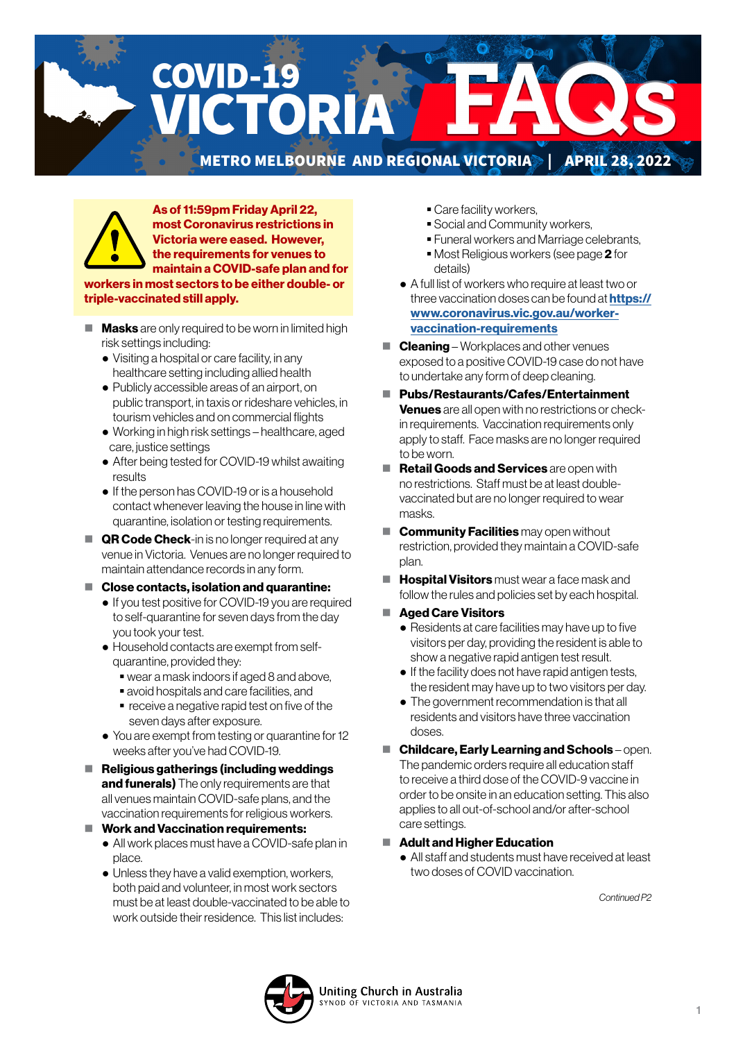# COVID-19 CTORIA METRO MELBOURNE AND REGIONAL VICTORIA<sup>N</sup> | APRIL 28, 2022



As of 11:59pm Friday April 22, most Coronavirus restrictions in Victoria were eased. However, the requirements for venues to maintain a COVID-safe plan and for

workers in most sectors to be either double- or triple-vaccinated still apply.

- $\blacksquare$  **Masks** are only required to be worn in limited high risk settings including:
	- Visiting a hospital or care facility, in any healthcare setting including allied health
	- Publicly accessible areas of an airport, on public transport, in taxis or rideshare vehicles, in tourism vehicles and on commercial flights
	- Working in high risk settings healthcare, aged care, justice settings
	- After being tested for COVID-19 whilst awaiting results
	- If the person has COVID-19 or is a household contact whenever leaving the house in line with quarantine, isolation or testing requirements.
- **QR Code Check**-in is no longer required at any venue in Victoria. Venues are no longer required to maintain attendance records in any form.
- Close contacts, isolation and quarantine:
	- If you test positive for COVID-19 you are required to self-quarantine for seven days from the day you took your test.
	- Household contacts are exempt from selfquarantine, provided they:
		- wear a mask indoors if aged 8 and above,
		- avoid hospitals and care facilities, and
		- **•** receive a negative rapid test on five of the seven days after exposure.
	- You are exempt from testing or quarantine for 12 weeks after you've had COVID-19.
- $\blacksquare$  Religious gatherings (including weddings and funerals) The only requirements are that all venues maintain COVID-safe plans, and the vaccination requirements for religious workers.
- $\blacksquare$  Work and Vaccination requirements:
	- All work places must have a COVID-safe plan in place.
	- Unless they have a valid exemption, workers, both paid and volunteer, in most work sectors must be at least double-vaccinated to be able to work outside their residence. This list includes:
- **Care facility workers,**
- Social and Community workers,
- Funeral workers and Marriage celebrants,
- Most Religious workers (see page 2 for details)
- A full list of workers who require at least two or three vaccination doses can be found at **[https://](https://www.coronavirus.vic.gov.au/worker-vaccination-requirements)** [www.coronavirus.vic.gov.au/worker](https://www.coronavirus.vic.gov.au/worker-vaccination-requirements)[vaccination-requirements](https://www.coronavirus.vic.gov.au/worker-vaccination-requirements)
- $\blacksquare$  **Cleaning** Workplaces and other venues exposed to a positive COVID-19 case do not have to undertake any form of deep cleaning.
- Pubs/Restaurants/Cafes/Entertainment **Venues** are all open with no restrictions or checkin requirements. Vaccination requirements only apply to staff. Face masks are no longer required to be worn.
- Retail Goods and Services are open with no restrictions. Staff must be at least doublevaccinated but are no longer required to wear masks.
- **Community Facilities** may open without restriction, provided they maintain a COVID-safe plan.
- $\blacksquare$  **Hospital Visitors** must wear a face mask and follow the rules and policies set by each hospital.
- Aged Care Visitors
	- Residents at care facilities may have up to five visitors per day, providing the resident is able to show a negative rapid antigen test result.
	- If the facility does not have rapid antigen tests, the resident may have up to two visitors per day.
	- The government recommendation is that all residents and visitors have three vaccination doses.
- Childcare, Early Learning and Schools open. The pandemic orders require all education staff to receive a third dose of the COVID-9 vaccine in order to be onsite in an education setting. This also applies to all out-of-school and/or after-school care settings.

#### ■ Adult and Higher Education

 ● All staff and students must have received at least two doses of COVID vaccination.

*Continued P2*

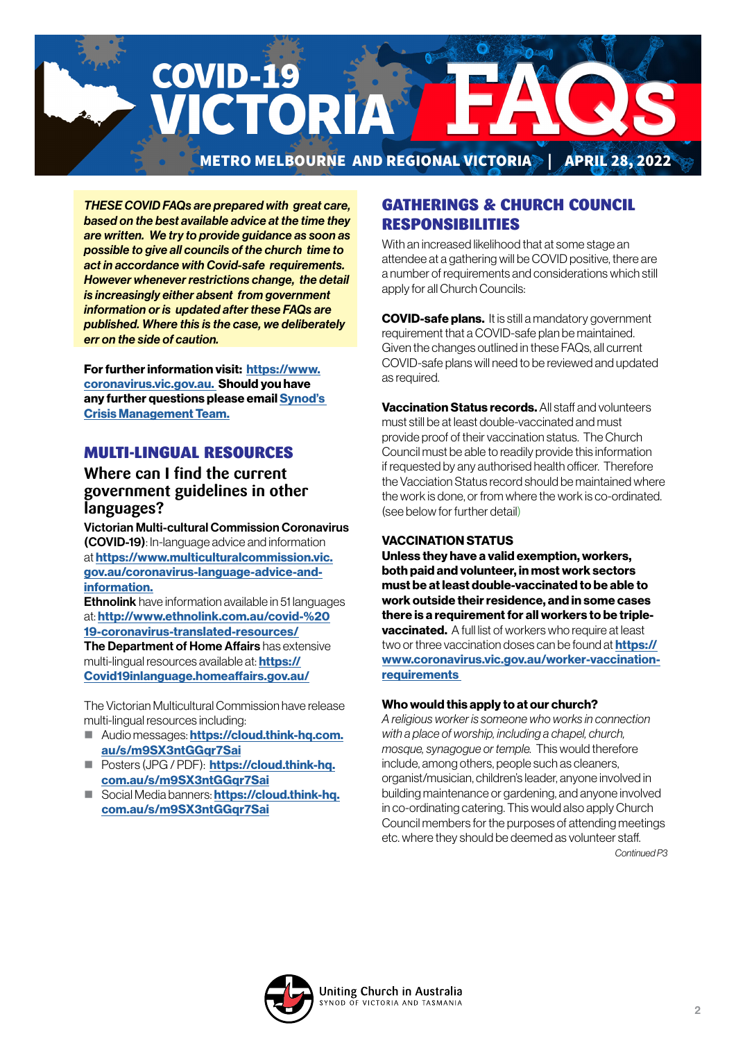

*THESE COVID FAQs are prepared with great care, based on the best available advice at the time they are written. We try to provide guidance as soon as possible to give all councils of the church time to act in accordance with Covid-safe requirements. However whenever restrictions change, the detail is increasingly either absent from government information or is updated after these FAQs are published. Where this is the case, we deliberately err on the side of caution.*

For further information visit: [https://www.](https://www.coronavirus.vic.gov.au) [coronavirus.vic.gov.au.](https://www.coronavirus.vic.gov.au) Should you have any further questions please email [Synod's](mailto:CrisisManagement%40victas.uca.org.au?subject=)  [Crisis Management Team.](mailto:CrisisManagement%40victas.uca.org.au?subject=)

# MULTI-LINGUAL RESOURCES

# **Where can I find the current government guidelines in other languages?**

Victorian Multi-cultural Commission Coronavirus (COVID-19): In-language advice and information at [https://www.multiculturalcommission.vic.](https://www.multiculturalcommission.vic.gov.au/coronavirus-language-advice-and-information) [gov.au/coronavirus-language-advice-and](https://www.multiculturalcommission.vic.gov.au/coronavirus-language-advice-and-information)[information.](https://www.multiculturalcommission.vic.gov.au/coronavirus-language-advice-and-information)

Ethnolink have information available in 51 languages at: [http://www.ethnolink.com.au/covid-%20](http://www.ethnolink.com.au/covid-%2019-coronavirus-translated-resources/) [19-coronavirus-translated-resources/](http://www.ethnolink.com.au/covid-%2019-coronavirus-translated-resources/) The Department of Home Affairs has extensive multi-lingual resources available at: **[https://](https://Covid19inlanguage.homeaffairs.gov.au/)** [Covid19inlanguage.homeaffairs.gov.au/](https://Covid19inlanguage.homeaffairs.gov.au/)

The Victorian Multicultural Commission have release multi-lingual resources including:

- Audio messages: [https://cloud.think-hq.com.](https://cloud.think-hq.com.au/s/m9SX3ntGGqr7Sai) [au/s/m9SX3ntGGqr7Sai](https://cloud.think-hq.com.au/s/m9SX3ntGGqr7Sai)
- **Posters (JPG / PDF): [https://cloud.think-hq.](https://cloud.think-hq.com.au/s/m9SX3ntGGqr7Sai)** [com.au/s/m9SX3ntGGqr7Sai](https://cloud.think-hq.com.au/s/m9SX3ntGGqr7Sai)
- Social Media banners: **[https://cloud.think-hq.](https://cloud.think-hq.com.au/s/m9SX3ntGGqr7Sai)** [com.au/s/m9SX3ntGGqr7Sai](https://cloud.think-hq.com.au/s/m9SX3ntGGqr7Sai)

# GATHERINGS & CHURCH COUNCIL RESPONSIBILITIES

With an increased likelihood that at some stage an attendee at a gathering will be COVID positive, there are a number of requirements and considerations which still apply for all Church Councils:

**COVID-safe plans.** It is still a mandatory government requirement that a COVID-safe plan be maintained. Given the changes outlined in these FAQs, all current COVID-safe plans will need to be reviewed and updated as required.

Vaccination Status records. All staff and volunteers must still be at least double-vaccinated and must provide proof of their vaccination status. The Church Council must be able to readily provide this information if requested by any authorised health officer. Therefore the Vacciation Status record should be maintained where the work is done, or from where the work is co-ordinated. (see below for further detail)

#### VACCINATION STATUS

Unless they have a valid exemption, workers, both paid and volunteer, in most work sectors must be at least double-vaccinated to be able to work outside their residence, and in some cases there is a requirement for all workers to be triple**vaccinated.** A full list of workers who require at least two or three vaccination doses can be found at **[https://](https://www.coronavirus.vic.gov.au/worker-vaccination-requirements )** [www.coronavirus.vic.gov.au/worker-vaccination](https://www.coronavirus.vic.gov.au/worker-vaccination-requirements )**requirements** 

#### Who would this apply to at our church?

*A religious worker is someone who works in connection with a place of worship, including a chapel, church, mosque, synagogue or temple.* This would therefore include, among others, people such as cleaners, organist/musician, children's leader, anyone involved in building maintenance or gardening, and anyone involved in co-ordinating catering. This would also apply Church Council members for the purposes of attending meetings etc. where they should be deemed as volunteer staff. *Continued P3*

Uniting Church in Australia YNOD OF VICTORIA AND TASMANIA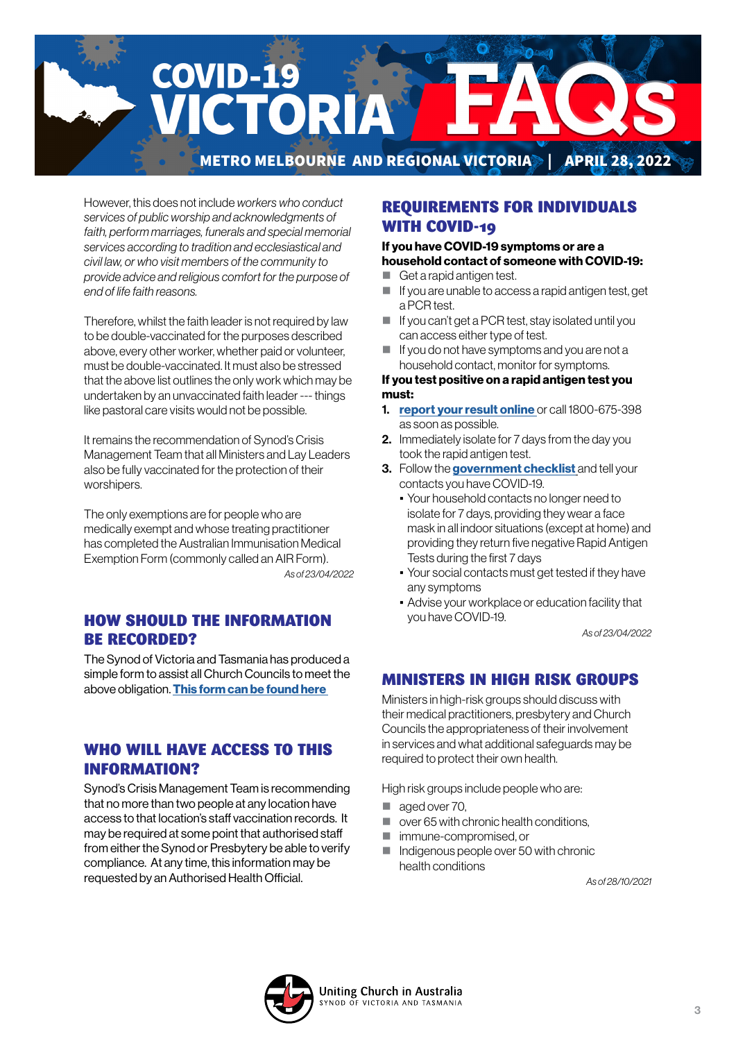

However, this does not include *workers who conduct services of public worship and acknowledgments of faith, perform marriages, funerals and special memorial services according to tradition and ecclesiastical and civil law, or who visit members of the community to provide advice and religious comfort for the purpose of end of life faith reasons.*

Therefore, whilst the faith leader is not required by law to be double-vaccinated for the purposes described above, every other worker, whether paid or volunteer, must be double-vaccinated. It must also be stressed that the above list outlines the only work which may be undertaken by an unvaccinated faith leader --- things like pastoral care visits would not be possible.

It remains the recommendation of Synod's Crisis Management Team that all Ministers and Lay Leaders also be fully vaccinated for the protection of their worshipers.

The only exemptions are for people who are medically exempt and whose treating practitioner has completed the Australian Immunisation Medical Exemption Form (commonly called an AIR Form). *As of 23/04/2022*

# HOW SHOULD THE INFORMATION BE RECORDED?

The Synod of Victoria and Tasmania has produced a simple form to assist all Church Councils to meet the above obligation. This form can be found here

# WHO WILL HAVE ACCESS TO THIS INFORMATION?

Synod's Crisis Management Team is recommending that no more than two people at any location have access to that location's staff vaccination records. It may be required at some point that authorised staff from either the Synod or Presbytery be able to verify compliance. At any time, this information may be requested by an Authorised Health Official.

# REQUIREMENTS FOR INDIVIDUALS WITH COVID-19

### If you have COVID-19 symptoms or are a household contact of someone with COVID-19:

- Get a rapid antigen test.
- $\blacksquare$  If you are unable to access a rapid antigen test, get a PCR test.
- If you can't get a PCR test, stay isolated until you can access either type of test.
- $\blacksquare$  If you do not have symptoms and you are not a household contact, monitor for symptoms.

#### If you test positive on a rapid antigen test you must:

- 1. [report your result online](https://www.coronavirus.vic.gov.au/node/22270) or call 1800-675-398 as soon as possible.
- 2. Immediately isolate for 7 days from the day you took the rapid antigen test.
- 3. Follow the [government checklist]( https://www.coronavirus.vic.gov.au/checklist) and tell your contacts you have COVID-19.
	- Your household contacts no longer need to isolate for 7 days, providing they wear a face mask in all indoor situations (except at home) and providing they return five negative Rapid Antigen Tests during the first 7 days
	- Your social contacts must get tested if they have any symptoms
	- **Advise your workplace or education facility that** you have COVID-19.

*As of 23/04/2022*

# MINISTERS IN HIGH RISK GROUPS

Ministers in high-risk groups should discuss with their medical practitioners, presbytery and Church Councils the appropriateness of their involvement in services and what additional safeguards may be required to protect their own health.

High risk groups include people who are:

- aged over 70,
- over 65 with chronic health conditions,
- immune-compromised, or
- Indigenous people over 50 with chronic health conditions

*As of 28/10/2021*

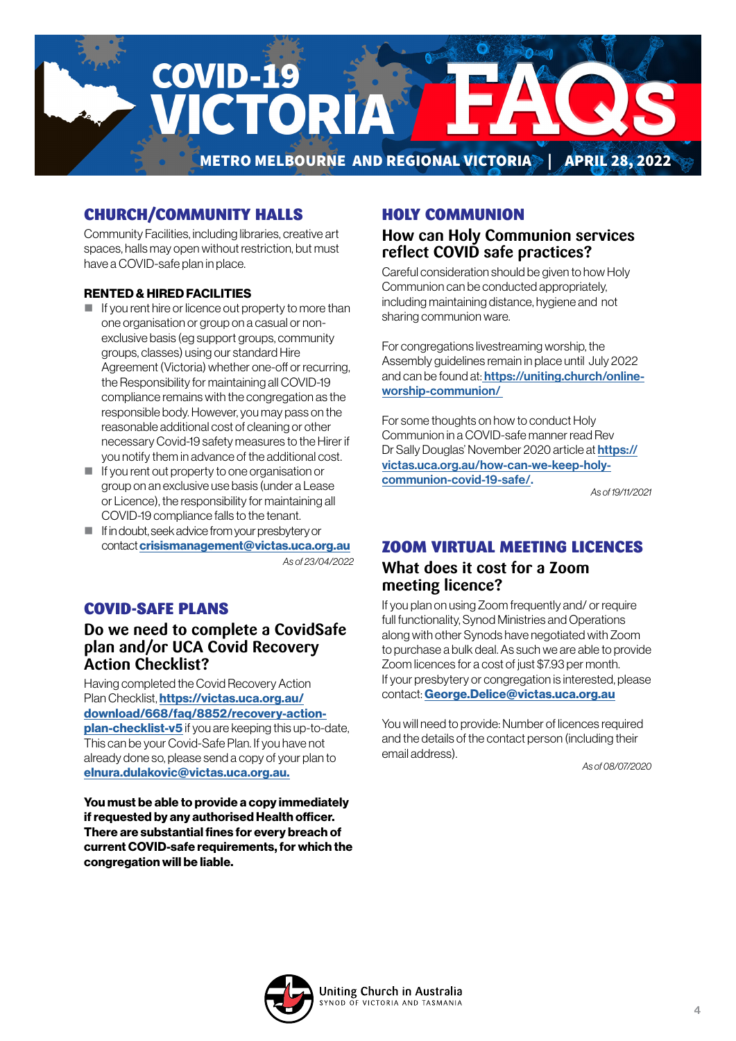

# CHURCH/COMMUNITY HALLS

Community Facilities, including libraries, creative art spaces, halls may open without restriction, but must have a COVID-safe plan in place.

#### RENTED & HIRED FACILITIES

- $\blacksquare$  If you rent hire or licence out property to more than one organisation or group on a casual or nonexclusive basis (eg support groups, community groups, classes) using our standard Hire Agreement (Victoria) whether one-off or recurring, the Responsibility for maintaining all COVID-19 compliance remains with the congregation as the responsible body. However, you may pass on the reasonable additional cost of cleaning or other necessary Covid-19 safety measures to the Hirer if you notify them in advance of the additional cost.
- If you rent out property to one organisation or group on an exclusive use basis (under a Lease or Licence), the responsibility for maintaining all COVID-19 compliance falls to the tenant.
- If in doubt, seek advice from your presbytery or contact [crisismanagement@victas.uca.org.au](mailto:crisismanagement%40victas.uca.org.au%20?subject=)

*As of 23/04/2022* 

# COVID-SAFE PLANS

## **Do we need to complete a CovidSafe plan and/or UCA Covid Recovery Action Checklist?**

Having completed the Covid Recovery Action Plan Checklist, [https://victas.uca.org.au/](https://victas.uca.org.au/download/668/faq/8852/recovery-action-plan-checklist-v5) [download/668/faq/8852/recovery-action](https://victas.uca.org.au/download/668/faq/8852/recovery-action-plan-checklist-v5)**[plan-checklist-v5](https://victas.uca.org.au/download/668/faq/8852/recovery-action-plan-checklist-v5)** if you are keeping this up-to-date. This can be your Covid-Safe Plan. If you have not already done so, please send a copy of your plan to [elnura.dulakovic@victas.uca.org.au.](mailto:elnura.dulakovic%40victas.uca.org.au.?subject=)

You must be able to provide a copy immediately if requested by any authorised Health officer. There are substantial fines for every breach of current COVID-safe requirements, for which the congregation will be liable.

## HOLY COMMUNION

# **How can Holy Communion services reflect COVID safe practices?**

Careful consideration should be given to how Holy Communion can be conducted appropriately, including maintaining distance, hygiene and not sharing communion ware.

For congregations livestreaming worship, the Assembly guidelines remain in place until July 2022 and can be found at: [https://uniting.church/online](https://uniting.church/online-worship-communion/)[worship-communion/](https://uniting.church/online-worship-communion/) 

For some thoughts on how to conduct Holy Communion in a COVID-safe manner read Rev Dr Sally Douglas' November 2020 article at [https://](https://

victas.uca.org.au/how-can-we-keep-holy-

communion-covid-19-safe/) [victas.uca.org.au/how-can-we-keep-holy](https://

victas.uca.org.au/how-can-we-keep-holy-

communion-covid-19-safe/)[communion-covid-19-safe/.](https://

victas.uca.org.au/how-can-we-keep-holy-

communion-covid-19-safe/) 

*As of 19/11/2021*

# ZOOM VIRTUAL MEETING LICENCES **What does it cost for a Zoom meeting licence?**

If you plan on using Zoom frequently and/ or require full functionality, Synod Ministries and Operations along with other Synods have negotiated with Zoom to purchase a bulk deal. As such we are able to provide Zoom licences for a cost of just \$7.93 per month. If your presbytery or congregation is interested, please contact: [George.Delice@victas.uca.org.au](mailto:George.Delice%40victas.uca.org.au?subject=)

You will need to provide: Number of licences required and the details of the contact person (including their email address).

*As of 08/07/2020*